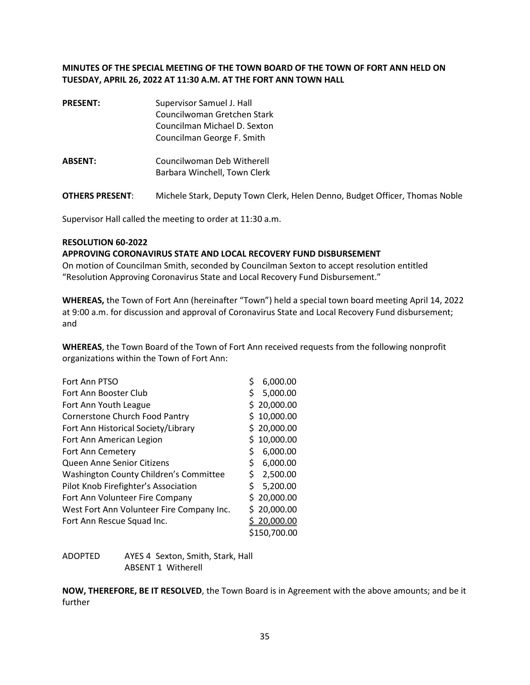## **MINUTES OF THE SPECIAL MEETING OF THE TOWN BOARD OF THE TOWN OF FORT ANN HELD ON TUESDAY, APRIL 26, 2022 AT 11:30 A.M. AT THE FORT ANN TOWN HALL**

**PRESENT:** Supervisor Samuel J. Hall Councilwoman Gretchen Stark Councilman Michael D. Sexton Councilman George F. Smith **ABSENT:** Councilwoman Deb Witherell Barbara Winchell, Town Clerk

**OTHERS PRESENT**: Michele Stark, Deputy Town Clerk, Helen Denno, Budget Officer, Thomas Noble

Supervisor Hall called the meeting to order at 11:30 a.m.

## **RESOLUTION 60-2022**

## **APPROVING CORONAVIRUS STATE AND LOCAL RECOVERY FUND DISBURSEMENT**

On motion of Councilman Smith, seconded by Councilman Sexton to accept resolution entitled "Resolution Approving Coronavirus State and Local Recovery Fund Disbursement."

**WHEREAS,** the Town of Fort Ann (hereinafter "Town") held a special town board meeting April 14, 2022 at 9:00 a.m. for discussion and approval of Coronavirus State and Local Recovery Fund disbursement; and

**WHEREAS**, the Town Board of the Town of Fort Ann received requests from the following nonprofit organizations within the Town of Fort Ann:

| Fort Ann PTSO                             | \$ | 6,000.00     |
|-------------------------------------------|----|--------------|
| Fort Ann Booster Club                     | \$ | 5,000.00     |
| Fort Ann Youth League                     |    | \$20,000.00  |
| <b>Cornerstone Church Food Pantry</b>     | Ś. | 10,000.00    |
| Fort Ann Historical Society/Library       |    | \$20,000.00  |
| Fort Ann American Legion                  |    | 10,000.00    |
| Fort Ann Cemetery                         | \$ | 6,000.00     |
| Queen Anne Senior Citizens                | \$ | 6,000.00     |
| Washington County Children's Committee    | \$ | 2,500.00     |
| Pilot Knob Firefighter's Association      | \$ | 5,200.00     |
| Fort Ann Volunteer Fire Company           |    | \$20,000.00  |
| West Fort Ann Volunteer Fire Company Inc. |    | \$20,000.00  |
| Fort Ann Rescue Squad Inc.                |    | 20,000.00    |
|                                           |    | \$150,700.00 |

| ADOPTED | AYES 4 Sexton, Smith, Stark, Hall |
|---------|-----------------------------------|
|         | ABSENT 1 Witherell                |

**NOW, THEREFORE, BE IT RESOLVED**, the Town Board is in Agreement with the above amounts; and be it further